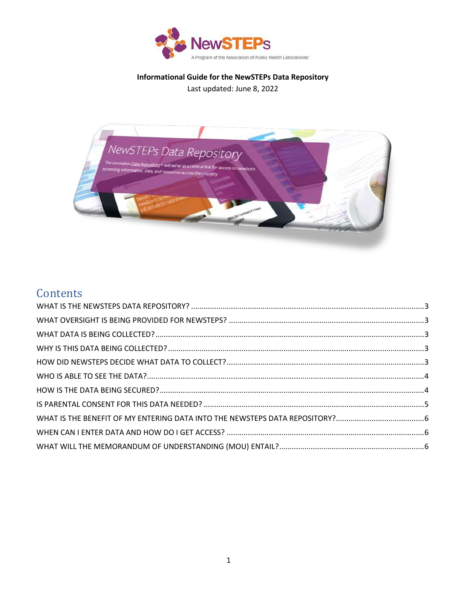

Informational Guide for the NewSTEPs Data Repository Last updated: June 8, 2022



# Contents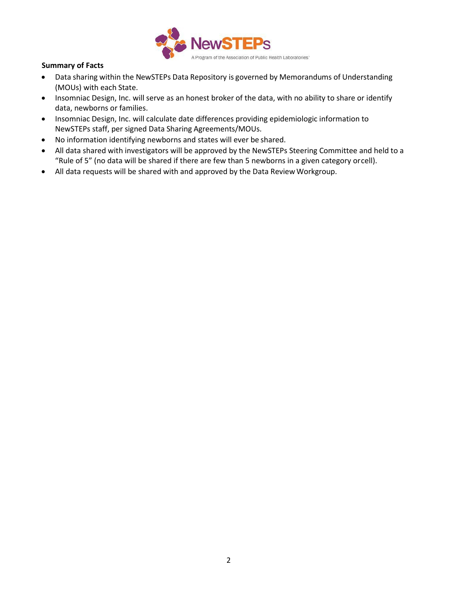

# **Summary of Facts**

- Data sharing within the NewSTEPs Data Repository is governed by Memorandums of Understanding (MOUs) with each State.
- Insomniac Design, Inc. will serve as an honest broker of the data, with no ability to share or identify data, newborns or families.
- Insomniac Design, Inc. will calculate date differences providing epidemiologic information to NewSTEPs staff, per signed Data Sharing Agreements/MOUs.
- No information identifying newborns and states will ever be shared.
- All data shared with investigators will be approved by the NewSTEPs Steering Committee and held to a "Rule of 5" (no data will be shared if there are few than 5 newborns in a given category orcell).
- All data requests will be shared with and approved by the Data Review Workgroup.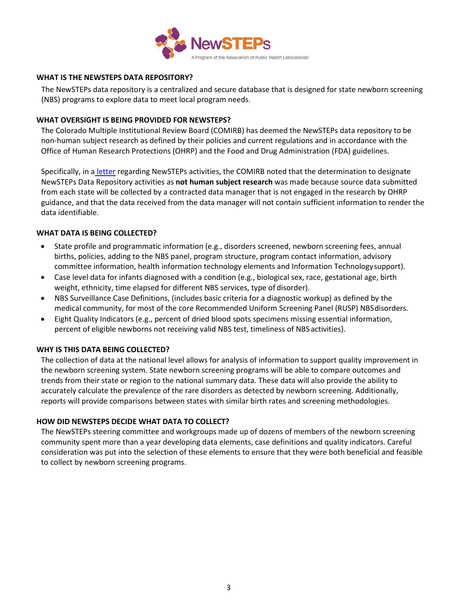

### <span id="page-2-0"></span>**WHAT IS THE NEWSTEPS DATA REPOSITORY?**

The NewSTEPs data repository is a centralized and secure database that is designed for state newborn screening (NBS) programs to explore data to meet local program needs.

#### <span id="page-2-1"></span>**WHAT OVERSIGHT IS BEING PROVIDED FOR NEWSTEPS?**

The Colorado Multiple Institutional Review Board (COMIRB) has deemed the NewSTEPs data repository to be non-human subject research as defined by their policies and current regulations and in accordance with the Office of Human Research Protections (OHRP) and the Food and Drug Administration (FDA) guidelines.

Specifically, in a [letter](https://www.newsteps.org/sites/default/files/irb_letter.pdf) regarding NewSTEPs activities, the COMIRB noted that the determination to designate NewSTEPs Data Repository activities as **not human subject research** was made because source data submitted from each state will be collected by a contracted data manager that is not engaged in the research by OHRP guidance, and that the data received from the data manager will not contain sufficient information to render the data identifiable.

### <span id="page-2-2"></span>**WHAT DATA IS BEING COLLECTED?**

- State profile and programmatic information (e.g., disorders screened, newborn screening fees, annual births, policies, adding to the NBS panel, program structure, program contact information, advisory committee information, health information technology elements and Information Technologysupport).
- Case level data for infants diagnosed with a condition (e.g., biological sex, race, gestational age, birth weight, ethnicity, time elapsed for different NBS services, type of disorder).
- NBS Surveillance Case Definitions, (includes basic criteria for a diagnostic workup) as defined by the medical community, for most of the core Recommended Uniform Screening Panel (RUSP) NBSdisorders.
- Eight Quality Indicators (e.g., percent of dried blood spots specimens missing essential information, percent of eligible newborns not receiving valid NBS test, timeliness of NBS activities).

### <span id="page-2-3"></span>**WHY IS THIS DATA BEING COLLECTED?**

The collection of data at the national level allows for analysis of information to support quality improvement in the newborn screening system. State newborn screening programs will be able to compare outcomes and trends from their state or region to the national summary data. These data will also provide the ability to accurately calculate the prevalence of the rare disorders as detected by newborn screening. Additionally, reports will provide comparisons between states with similar birth rates and screening methodologies.

#### <span id="page-2-4"></span>**HOW DID NEWSTEPS DECIDE WHAT DATA TO COLLECT?**

The NewSTEPs steering committee and workgroups made up of dozens of members of the newborn screening community spent more than a year developing data elements, case definitions and quality indicators. Careful consideration was put into the selection of these elements to ensure that they were both beneficial and feasible to collect by newborn screening programs.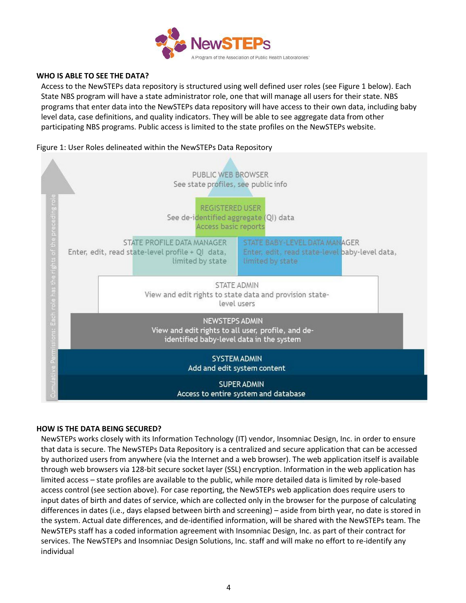

### <span id="page-3-0"></span>**WHO IS ABLE TO SEE THE DATA?**

Access to the NewSTEPs data repository is structured using well defined user roles (see Figure 1 below). Each State NBS program will have a state administrator role, one that will manage all users for their state. NBS programs that enter data into the NewSTEPs data repository will have access to their own data, including baby level data, case definitions, and quality indicators. They will be able to see aggregate data from other participating NBS programs. Public access is limited to the state profiles on the NewSTEPs website.

## Figure 1: User Roles delineated within the NewSTEPs Data Repository



### <span id="page-3-1"></span>**HOW IS THE DATA BEING SECURED?**

NewSTEPs works closely with its Information Technology (IT) vendor, Insomniac Design, Inc. in order to ensure that data is secure. The NewSTEPs Data Repository is a centralized and secure application that can be accessed by authorized users from anywhere (via the Internet and a web browser). The web application itself is available through web browsers via 128-bit secure socket layer (SSL) encryption. Information in the web application has limited access – state profiles are available to the public, while more detailed data is limited by role-based access control (see section above). For case reporting, the NewSTEPs web application does require users to input dates of birth and dates of service, which are collected only in the browser for the purpose of calculating differences in dates (i.e., days elapsed between birth and screening) – aside from birth year, no date is stored in the system. Actual date differences, and de-identified information, will be shared with the NewSTEPs team. The NewSTEPs staff has a coded information agreement with Insomniac Design, Inc. as part of their contract for services. The NewSTEPs and Insomniac Design Solutions, Inc. staff and will make no effort to re-identify any individual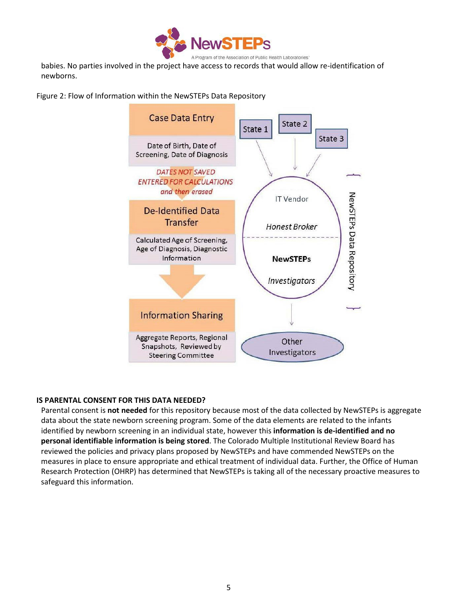

babies. No parties involved in the project have access to records that would allow re-identification of newborns.

Figure 2: Flow of Information within the NewSTEPs Data Repository



### <span id="page-4-0"></span>**IS PARENTAL CONSENT FOR THIS DATA NEEDED?**

Parental consent is **not needed** for this repository because most of the data collected by NewSTEPs is aggregate data about the state newborn screening program. Some of the data elements are related to the infants identified by newborn screening in an individual state, however this **information is de-identified and no personal identifiable information is being stored**. The Colorado Multiple Institutional Review Board has reviewed the policies and privacy plans proposed by NewSTEPs and have commended NewSTEPs on the measures in place to ensure appropriate and ethical treatment of individual data. Further, the Office of Human Research Protection (OHRP) has determined that NewSTEPs is taking all of the necessary proactive measures to safeguard this information.